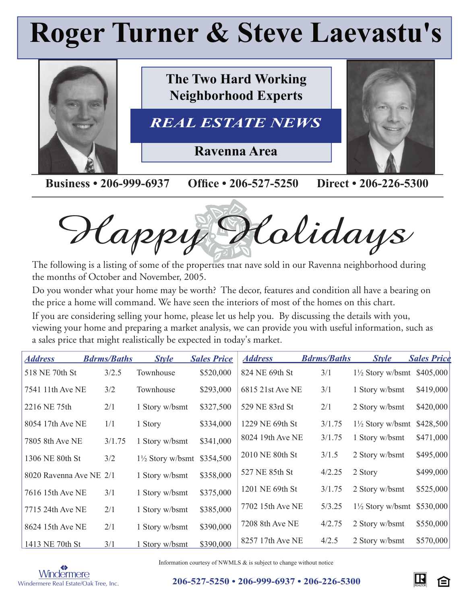# **Roger Turner & Steve Laevastu's**



Happy Holidays

The following is a listing of some of the properties that have sold in our Ravenna neighborhood during the months of October and November, 2005.

Do you wonder what your home may be worth? The decor, features and condition all have a bearing on the price a home will command. We have seen the interiors of most of the homes on this chart.

If you are considering selling your home, please let us help you. By discussing the details with you, viewing your home and preparing a market analysis, we can provide you with useful information, such as a sales price that might realistically be expected in today's market.

| <b>Address</b>          | <b>Bdrms/Baths</b> | <b>Style</b>                | <b>Sales Price</b> | <b>Address</b>   | <b>Bdrms/Baths</b> | <b>Style</b>                          | <b>Sales Price</b> |
|-------------------------|--------------------|-----------------------------|--------------------|------------------|--------------------|---------------------------------------|--------------------|
| 518 NE 70th St          | 3/2.5              | Townhouse                   | \$520,000          | 824 NE 69th St   | 3/1                | $1\frac{1}{2}$ Story w/bsmt \$405,000 |                    |
| 7541 11th Ave NE        | 3/2                | Townhouse                   | \$293,000          | 6815 21st Ave NE | 3/1                | 1 Story w/bsmt                        | \$419,000          |
| 2216 NE 75th            | 2/1                | 1 Story w/bsmt              | \$327,500          | 529 NE 83rd St   | 2/1                | 2 Story w/bsmt                        | \$420,000          |
| 8054 17th Ave NE        | 1/1                | 1 Story                     | \$334,000          | 1229 NE 69th St  | 3/1.75             | $1\frac{1}{2}$ Story w/bsmt           | \$428,500          |
| 7805 8th Ave NE         | 3/1.75             | 1 Story w/bsmt              | \$341,000          | 8024 19th Ave NE | 3/1.75             | 1 Story w/bsmt                        | \$471,000          |
| 1306 NE 80th St         | 3/2                | $1\frac{1}{2}$ Story w/bsmt | \$354,500          | 2010 NE 80th St  | 3/1.5              | 2 Story w/bsmt                        | \$495,000          |
| 8020 Ravenna Ave NE 2/1 |                    | 1 Story w/bsmt              | \$358,000          | 527 NE 85th St   | 4/2.25             | 2 Story                               | \$499,000          |
| 7616 15th Ave NE        | 3/1                | 1 Story w/bsmt              | \$375,000          | 1201 NE 69th St  | 3/1.75             | 2 Story w/bsmt                        | \$525,000          |
| 7715 24th Ave NE        | 2/1                | 1 Story w/bsmt              | \$385,000          | 7702 15th Ave NE | 5/3.25             | $1\frac{1}{2}$ Story w/bsmt           | \$530,000          |
| 8624 15th Ave NE        | 2/1                | 1 Story w/bsmt              | \$390,000          | 7208 8th Ave NE  | 4/2.75             | 2 Story w/bsmt                        | \$550,000          |
| 1413 NE 70th St         | 3/1                | 1 Story w/bsmt              | \$390,000          | 8257 17th Ave NE | 4/2.5              | 2 Story w/bsmt                        | \$570,000          |



Information courtesy of NWMLS & is subject to change without notice